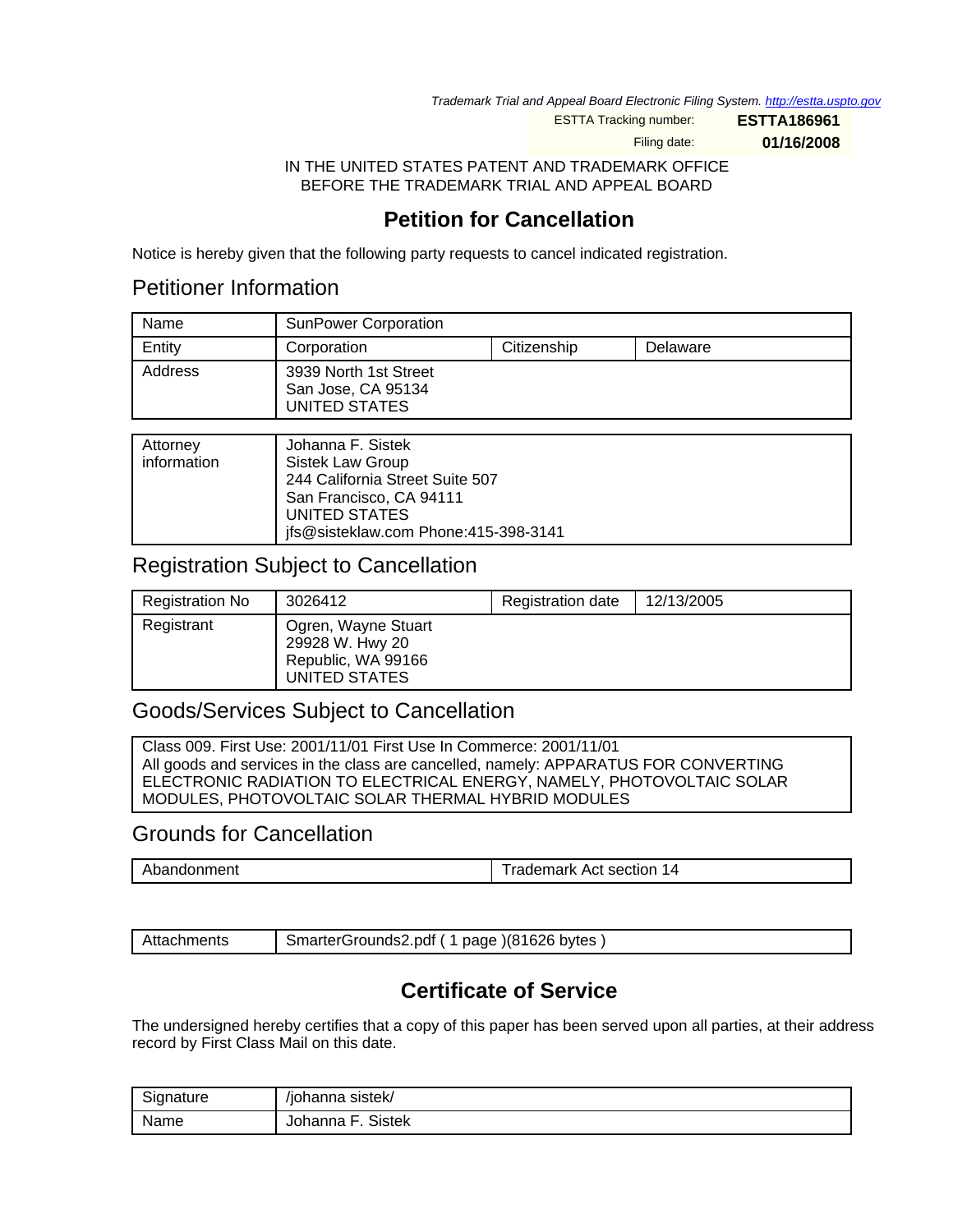Trademark Trial and Appeal Board Electronic Filing System. <http://estta.uspto.gov>

ESTTA Tracking number: **ESTTA186961**

Filing date: **01/16/2008**

IN THE UNITED STATES PATENT AND TRADEMARK OFFICE BEFORE THE TRADEMARK TRIAL AND APPEAL BOARD

# **Petition for Cancellation**

Notice is hereby given that the following party requests to cancel indicated registration.

## Petitioner Information

| Name    | <b>SunPower Corporation</b>                                  |             |          |
|---------|--------------------------------------------------------------|-------------|----------|
| Entity  | Corporation                                                  | Citizenship | Delaware |
| Address | 3939 North 1st Street<br>San Jose, CA 95134<br>UNITED STATES |             |          |

| Attorney<br>information | Johanna F. Sistek<br>Sistek Law Group<br>244 California Street Suite 507<br>San Francisco, CA 94111<br>UNITED STATES<br>ifs@sisteklaw.com Phone:415-398-3141 |
|-------------------------|--------------------------------------------------------------------------------------------------------------------------------------------------------------|

## Registration Subject to Cancellation

| <b>Registration No</b> | 3026412                                                                       | Registration date | 12/13/2005 |
|------------------------|-------------------------------------------------------------------------------|-------------------|------------|
| Registrant             | Ogren, Wayne Stuart<br>29928 W. Hwy 20<br>Republic, WA 99166<br>UNITED STATES |                   |            |

## Goods/Services Subject to Cancellation

Class 009. First Use: 2001/11/01 First Use In Commerce: 2001/11/01 All goods and services in the class are cancelled, namely: APPARATUS FOR CONVERTING ELECTRONIC RADIATION TO ELECTRICAL ENERGY, NAMELY, PHOTOVOLTAIC SOLAR MODULES, PHOTOVOLTAIC SOLAR THERMAL HYBRID MODULES

## Grounds for Cancellation

|  | ചറ<br>pandonment | <b>Trademark</b><br>Act section<br>$\epsilon$ |
|--|------------------|-----------------------------------------------|
|--|------------------|-----------------------------------------------|

| Attachments | SmarterGrounds2.pdf (1 page) (81626 bytes) |
|-------------|--------------------------------------------|
|-------------|--------------------------------------------|

# **Certificate of Service**

The undersigned hereby certifies that a copy of this paper has been served upon all parties, at their address record by First Class Mail on this date.

| <b>.</b><br>Signature | /johanna sistek/              |
|-----------------------|-------------------------------|
| Name                  | <b>Sistek</b><br>Johanna<br>۳ |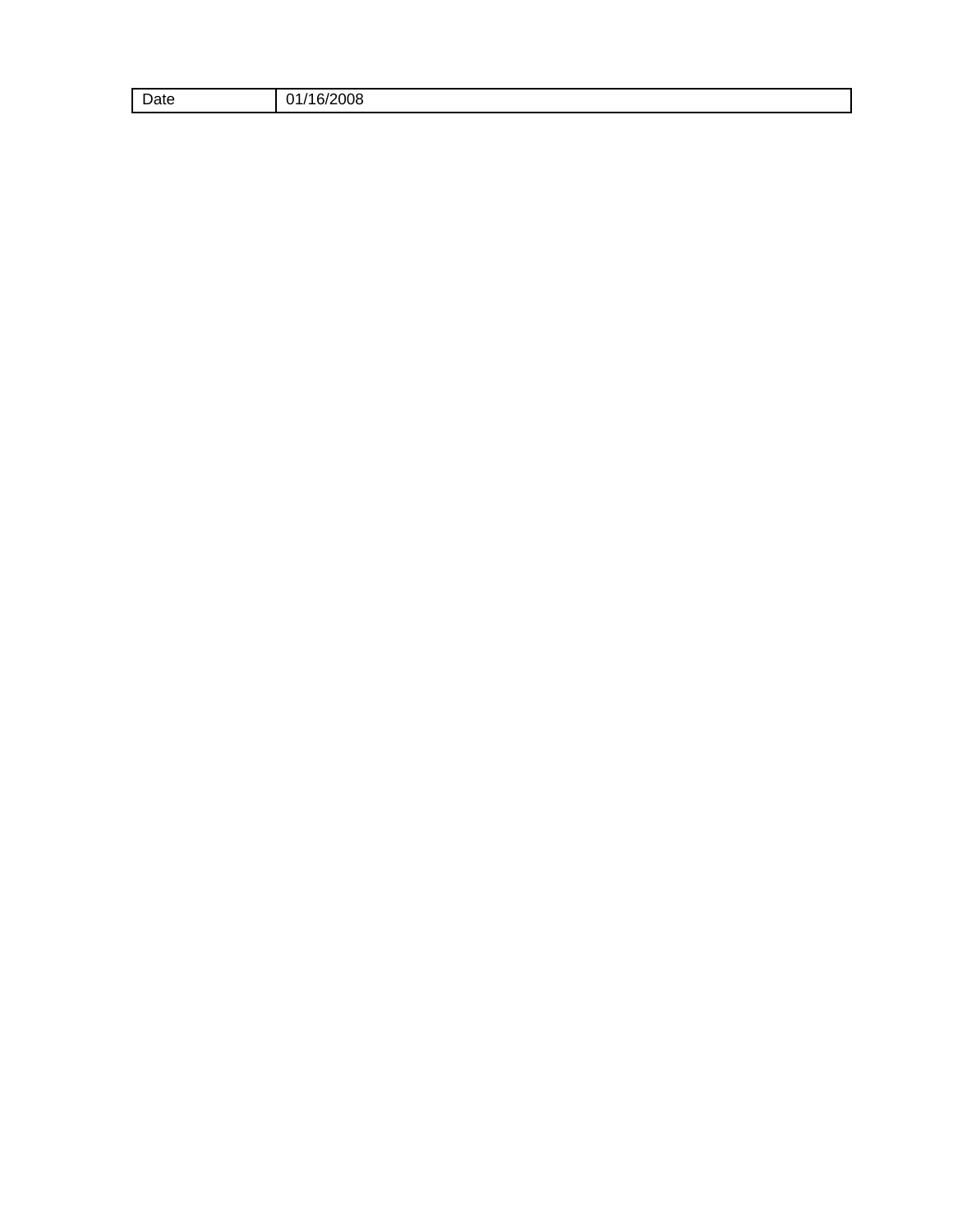| $\overline{ }$<br>$\omega$ ate | $\sim$ $\sim$ $\sim$<br>2008<br>$\ddot{\phantom{0}}$<br>,,<br>. .<br>. |
|--------------------------------|------------------------------------------------------------------------|